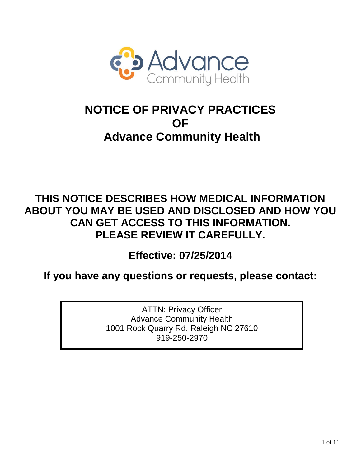

# **NOTICE OF PRIVACY PRACTICES OF Advance Community Health**

# **THIS NOTICE DESCRIBES HOW MEDICAL INFORMATION ABOUT YOU MAY BE USED AND DISCLOSED AND HOW YOU CAN GET ACCESS TO THIS INFORMATION. PLEASE REVIEW IT CAREFULLY.**

**Effective: 07/25/2014**

**If you have any questions or requests, please contact:** 

ATTN: Privacy Officer Advance Community Health 1001 Rock Quarry Rd, Raleigh NC 27610 919-250-2970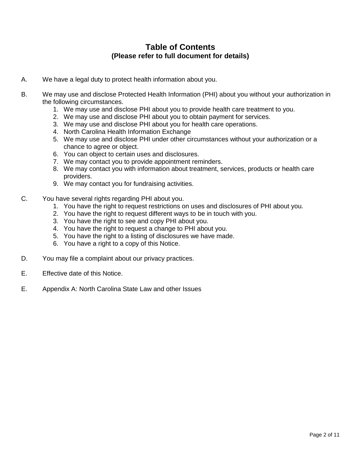### **Table of Contents (Please refer to full document for details)**

- A. We have a legal duty to protect health information about you.
- B. We may use and disclose Protected Health Information (PHI) about you without your authorization in the following circumstances.
	- 1. We may use and disclose PHI about you to provide health care treatment to you.
	- 2. We may use and disclose PHI about you to obtain payment for services.
	- 3. We may use and disclose PHI about you for health care operations.
	- 4. North Carolina Health Information Exchange
	- 5. We may use and disclose PHI under other circumstances without your authorization or a chance to agree or object.
	- 6. You can object to certain uses and disclosures.
	- 7. We may contact you to provide appointment reminders.
	- 8. We may contact you with information about treatment, services, products or health care providers.
	- 9. We may contact you for fundraising activities.
- C. You have several rights regarding PHI about you.
	- 1. You have the right to request restrictions on uses and disclosures of PHI about you.
	- 2. You have the right to request different ways to be in touch with you.
	- 3. You have the right to see and copy PHI about you.
	- 4. You have the right to request a change to PHI about you.
	- 5. You have the right to a listing of disclosures we have made.
	- 6. You have a right to a copy of this Notice.
- D. You may file a complaint about our privacy practices.
- E. Effective date of this Notice.
- E. Appendix A: North Carolina State Law and other Issues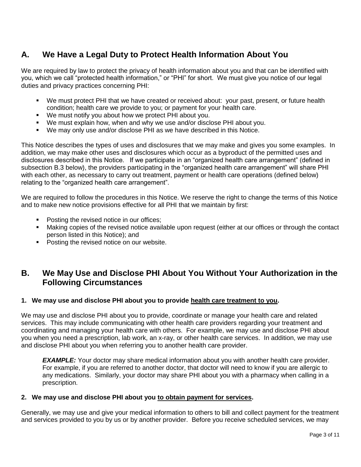# **A. We Have a Legal Duty to Protect Health Information About You**

We are required by law to protect the privacy of health information about you and that can be identified with you, which we call "protected health information," or "PHI" for short. We must give you notice of our legal duties and privacy practices concerning PHI:

- We must protect PHI that we have created or received about: your past, present, or future health condition; health care we provide to you; or payment for your health care.
- We must notify you about how we protect PHI about you.
- We must explain how, when and why we use and/or disclose PHI about you.
- We may only use and/or disclose PHI as we have described in this Notice.

This Notice describes the types of uses and disclosures that we may make and gives you some examples. In addition, we may make other uses and disclosures which occur as a byproduct of the permitted uses and disclosures described in this Notice. If we participate in an "organized health care arrangement" (defined in subsection B.3 below), the providers participating in the "organized health care arrangement" will share PHI with each other, as necessary to carry out treatment, payment or health care operations (defined below) relating to the "organized health care arrangement".

We are required to follow the procedures in this Notice. We reserve the right to change the terms of this Notice and to make new notice provisions effective for all PHI that we maintain by first:

- **Posting the revised notice in our offices;**
- Making copies of the revised notice available upon request (either at our offices or through the contact person listed in this Notice); and
- **Posting the revised notice on our website.**

## **B. We May Use and Disclose PHI About You Without Your Authorization in the Following Circumstances**

#### **1. We may use and disclose PHI about you to provide health care treatment to you.**

We may use and disclose PHI about you to provide, coordinate or manage your health care and related services. This may include communicating with other health care providers regarding your treatment and coordinating and managing your health care with others. For example, we may use and disclose PHI about you when you need a prescription, lab work, an x-ray, or other health care services. In addition, we may use and disclose PHI about you when referring you to another health care provider.

*EXAMPLE:* Your doctor may share medical information about you with another health care provider. For example, if you are referred to another doctor, that doctor will need to know if you are allergic to any medications. Similarly, your doctor may share PHI about you with a pharmacy when calling in a prescription.

#### **2. We may use and disclose PHI about you to obtain payment for services.**

Generally, we may use and give your medical information to others to bill and collect payment for the treatment and services provided to you by us or by another provider. Before you receive scheduled services, we may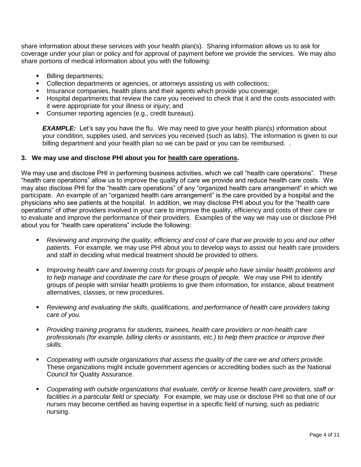share information about these services with your health plan(s). Sharing information allows us to ask for coverage under your plan or policy and for approval of payment before we provide the services. We may also share portions of medical information about you with the following:

- Billing departments:
- Collection departments or agencies, or attorneys assisting us with collections;
- **Insurance companies, health plans and their agents which provide you coverage;**
- Hospital departments that review the care you received to check that it and the costs associated with it were appropriate for your illness or injury; and
- **Consumer reporting agencies (e.g., credit bureaus).**

**EXAMPLE:** Let's say you have the flu. We may need to give your health plan(s) information about your condition, supplies used, and services you received (such as labs). The information is given to our billing department and your health plan so we can be paid or you can be reimbursed. .

#### **3. We may use and disclose PHI about you for health care operations.**

We may use and disclose PHI in performing business activities, which we call "health care operations". These "health care operations" allow us to improve the quality of care we provide and reduce health care costs. We may also disclose PHI for the "health care operations" of any "organized health care arrangement" in which we participate. An example of an "organized health care arrangement" is the care provided by a hospital and the physicians who see patients at the hospital. In addition, we may disclose PHI about you for the "health care operations" of other providers involved in your care to improve the quality, efficiency and costs of their care or to evaluate and improve the performance of their providers. Examples of the way we may use or disclose PHI about you for "health care operations" include the following:

- *Reviewing and improving the quality, efficiency and cost of care that we provide to you and our other patients.* For example, we may use PHI about you to develop ways to assist our health care providers and staff in deciding what medical treatment should be provided to others.
- *Improving health care and lowering costs for groups of people who have similar health problems and to help manage and coordinate the care for these groups of people.* We may use PHI to identify groups of people with similar health problems to give them information, for instance, about treatment alternatives, classes, or new procedures.
- *Reviewing and evaluating the skills, qualifications, and performance of health care providers taking care of you.*
- *Providing training programs for students, trainees, health care providers or non-health care professionals (for example, billing clerks or assistants, etc.) to help them practice or improve their skills.*
- *Cooperating with outside organizations that assess the quality of the care we and others provide.* These organizations might include government agencies or accrediting bodies such as the National Council for Quality Assurance.
- *Cooperating with outside organizations that evaluate, certify or license health care providers, staff or facilities in a particular field or specialty.* For example, we may use or disclose PHI so that one of our nurses may become certified as having expertise in a specific field of nursing, such as pediatric nursing.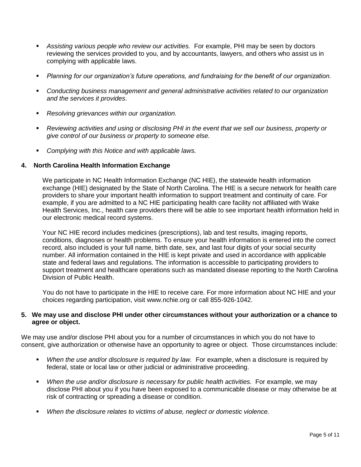- *Assisting various people who review our activities.* For example, PHI may be seen by doctors reviewing the services provided to you, and by accountants, lawyers, and others who assist us in complying with applicable laws.
- *Planning for our organization's future operations, and fundraising for the benefit of our organization.*
- *Conducting business management and general administrative activities related to our organization and the services it provides*.
- *Resolving grievances within our organization.*
- *Reviewing activities and using or disclosing PHI in the event that we sell our business, property or give control of our business or property to someone else.*
- *Complying with this Notice and with applicable laws.*

#### **4. North Carolina Health Information Exchange**

We participate in NC Health Information Exchange (NC HIE), the statewide health information exchange (HIE) designated by the State of North Carolina. The HIE is a secure network for health care providers to share your important health information to support treatment and continuity of care. For example, if you are admitted to a NC HIE participating health care facility not affiliated with Wake Health Services, Inc., health care providers there will be able to see important health information held in our electronic medical record systems.

Your NC HIE record includes medicines (prescriptions), lab and test results, imaging reports, conditions, diagnoses or health problems. To ensure your health information is entered into the correct record, also included is your full name, birth date, sex, and last four digits of your social security number. All information contained in the HIE is kept private and used in accordance with applicable state and federal laws and regulations. The information is accessible to participating providers to support treatment and healthcare operations such as mandated disease reporting to the North Carolina Division of Public Health.

You do not have to participate in the HIE to receive care. For more information about NC HIE and your choices regarding participation, visit www.nchie.org or call 855-926-1042.

#### **5. We may use and disclose PHI under other circumstances without your authorization or a chance to agree or object.**

We may use and/or disclose PHI about you for a number of circumstances in which you do not have to consent, give authorization or otherwise have an opportunity to agree or object. Those circumstances include:

- *When the use and/or disclosure is required by law.* For example, when a disclosure is required by federal, state or local law or other judicial or administrative proceeding.
- **•** When the use and/or disclosure is necessary for public health activities. For example, we may disclose PHI about you if you have been exposed to a communicable disease or may otherwise be at risk of contracting or spreading a disease or condition.
- *When the disclosure relates to victims of abuse, neglect or domestic violence.*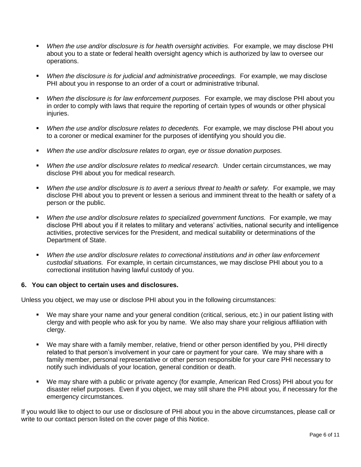- *When the use and/or disclosure is for health oversight activities.* For example, we may disclose PHI about you to a state or federal health oversight agency which is authorized by law to oversee our operations.
- *When the disclosure is for judicial and administrative proceedings.* For example, we may disclose PHI about you in response to an order of a court or administrative tribunal.
- *When the disclosure is for law enforcement purposes.* For example, we may disclose PHI about you in order to comply with laws that require the reporting of certain types of wounds or other physical injuries.
- *When the use and/or disclosure relates to decedents.* For example, we may disclose PHI about you to a coroner or medical examiner for the purposes of identifying you should you die.
- *When the use and/or disclosure relates to organ, eye or tissue donation purposes.*
- *When the use and/or disclosure relates to medical research.* Under certain circumstances, we may disclose PHI about you for medical research.
- *When the use and/or disclosure is to avert a serious threat to health or safety.* For example, we may disclose PHI about you to prevent or lessen a serious and imminent threat to the health or safety of a person or the public.
- *When the use and/or disclosure relates to specialized government functions.* For example, we may disclose PHI about you if it relates to military and veterans' activities, national security and intelligence activities, protective services for the President, and medical suitability or determinations of the Department of State.
- *When the use and/or disclosure relates to correctional institutions and in other law enforcement custodial situations.* For example, in certain circumstances, we may disclose PHI about you to a correctional institution having lawful custody of you.

#### **6. You can object to certain uses and disclosures.**

Unless you object, we may use or disclose PHI about you in the following circumstances:

- We may share your name and your general condition (critical, serious, etc.) in our patient listing with clergy and with people who ask for you by name. We also may share your religious affiliation with clergy.
- We may share with a family member, relative, friend or other person identified by you, PHI directly related to that person's involvement in your care or payment for your care. We may share with a family member, personal representative or other person responsible for your care PHI necessary to notify such individuals of your location, general condition or death.
- We may share with a public or private agency (for example, American Red Cross) PHI about you for disaster relief purposes. Even if you object, we may still share the PHI about you, if necessary for the emergency circumstances.

If you would like to object to our use or disclosure of PHI about you in the above circumstances, please call or write to our contact person listed on the cover page of this Notice.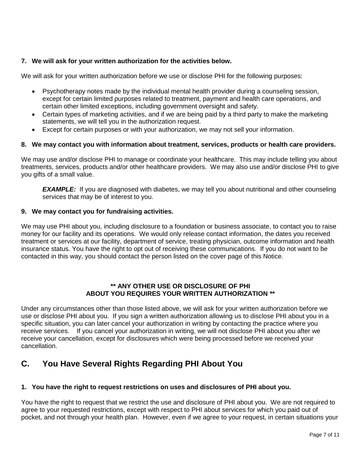#### **7. We will ask for your written authorization for the activities below.**

We will ask for your written authorization before we use or disclose PHI for the following purposes:

- Psychotherapy notes made by the individual mental health provider during a counseling session, except for certain limited purposes related to treatment, payment and health care operations, and certain other limited exceptions, including government oversight and safety.
- Certain types of marketing activities, and if we are being paid by a third party to make the marketing statements, we will tell you in the authorization request.
- Except for certain purposes or with your authorization, we may not sell your information.

#### **8. We may contact you with information about treatment, services, products or health care providers.**

We may use and/or disclose PHI to manage or coordinate your healthcare. This may include telling you about treatments, services, products and/or other healthcare providers. We may also use and/or disclose PHI to give you gifts of a small value.

*EXAMPLE:* If you are diagnosed with diabetes, we may tell you about nutritional and other counseling services that may be of interest to you.

#### **9. We may contact you for fundraising activities.**

We may use PHI about you, including disclosure to a foundation or business associate, to contact you to raise money for our facility and its operations. We would only release contact information, the dates you received treatment or services at our facility, department of service, treating physician, outcome information and health insurance status. You have the right to opt out of receiving these communications. If you do not want to be contacted in this way, you should contact the person listed on the cover page of this Notice.

#### **\*\* ANY OTHER USE OR DISCLOSURE OF PHI ABOUT YOU REQUIRES YOUR WRITTEN AUTHORIZATION \*\***

Under any circumstances other than those listed above, we will ask for your written authorization before we use or disclose PHI about you. If you sign a written authorization allowing us to disclose PHI about you in a specific situation, you can later cancel your authorization in writing by contacting the practice where you receive services. If you cancel your authorization in writing, we will not disclose PHI about you after we receive your cancellation, except for disclosures which were being processed before we received your cancellation.

# **C. You Have Several Rights Regarding PHI About You**

#### **1. You have the right to request restrictions on uses and disclosures of PHI about you.**

You have the right to request that we restrict the use and disclosure of PHI about you. We are not required to agree to your requested restrictions, except with respect to PHI about services for which you paid out of pocket, and not through your health plan. However, even if we agree to your request, in certain situations your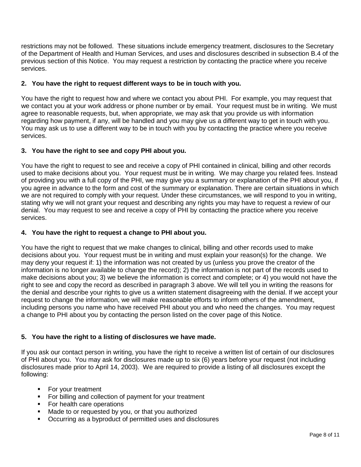restrictions may not be followed. These situations include emergency treatment, disclosures to the Secretary of the Department of Health and Human Services, and uses and disclosures described in subsection B.4 of the previous section of this Notice. You may request a restriction by contacting the practice where you receive services.

#### **2. You have the right to request different ways to be in touch with you.**

You have the right to request how and where we contact you about PHI. For example, you may request that we contact you at your work address or phone number or by email. Your request must be in writing. We must agree to reasonable requests, but, when appropriate, we may ask that you provide us with information regarding how payment, if any, will be handled and you may give us a different way to get in touch with you. You may ask us to use a different way to be in touch with you by contacting the practice where you receive services.

#### **3. You have the right to see and copy PHI about you.**

You have the right to request to see and receive a copy of PHI contained in clinical, billing and other records used to make decisions about you. Your request must be in writing. We may charge you related fees. Instead of providing you with a full copy of the PHI, we may give you a summary or explanation of the PHI about you, if you agree in advance to the form and cost of the summary or explanation. There are certain situations in which we are not required to comply with your request. Under these circumstances, we will respond to you in writing, stating why we will not grant your request and describing any rights you may have to request a review of our denial. You may request to see and receive a copy of PHI by contacting the practice where you receive services.

#### **4. You have the right to request a change to PHI about you.**

You have the right to request that we make changes to clinical, billing and other records used to make decisions about you. Your request must be in writing and must explain your reason(s) for the change. We may deny your request if: 1) the information was not created by us (unless you prove the creator of the information is no longer available to change the record); 2) the information is not part of the records used to make decisions about you; 3) we believe the information is correct and complete; or 4) you would not have the right to see and copy the record as described in paragraph 3 above. We will tell you in writing the reasons for the denial and describe your rights to give us a written statement disagreeing with the denial. If we accept your request to change the information, we will make reasonable efforts to inform others of the amendment, including persons you name who have received PHI about you and who need the changes. You may request a change to PHI about you by contacting the person listed on the cover page of this Notice.

#### **5. You have the right to a listing of disclosures we have made.**

If you ask our contact person in writing, you have the right to receive a written list of certain of our disclosures of PHI about you. You may ask for disclosures made up to six (6) years before your request (not including disclosures made prior to April 14, 2003). We are required to provide a listing of all disclosures except the following:

- For your treatment
- For billing and collection of payment for your treatment
- For health care operations
- **Made to or requested by you, or that you authorized**
- Occurring as a byproduct of permitted uses and disclosures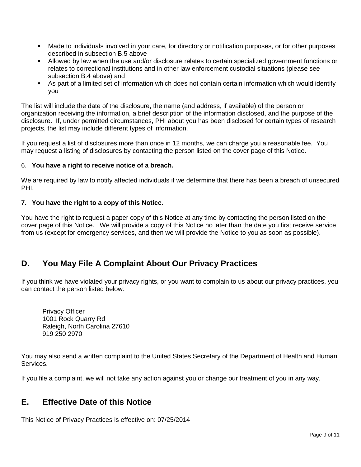- Made to individuals involved in your care, for directory or notification purposes, or for other purposes described in subsection B.5 above
- Allowed by law when the use and/or disclosure relates to certain specialized government functions or relates to correctional institutions and in other law enforcement custodial situations (please see subsection B.4 above) and
- As part of a limited set of information which does not contain certain information which would identify you

The list will include the date of the disclosure, the name (and address, if available) of the person or organization receiving the information, a brief description of the information disclosed, and the purpose of the disclosure. If, under permitted circumstances, PHI about you has been disclosed for certain types of research projects, the list may include different types of information.

If you request a list of disclosures more than once in 12 months, we can charge you a reasonable fee. You may request a listing of disclosures by contacting the person listed on the cover page of this Notice.

#### 6. **You have a right to receive notice of a breach.**

We are required by law to notify affected individuals if we determine that there has been a breach of unsecured PHI.

#### **7. You have the right to a copy of this Notice.**

You have the right to request a paper copy of this Notice at any time by contacting the person listed on the cover page of this Notice. We will provide a copy of this Notice no later than the date you first receive service from us (except for emergency services, and then we will provide the Notice to you as soon as possible).

# **D. You May File A Complaint About Our Privacy Practices**

If you think we have violated your privacy rights, or you want to complain to us about our privacy practices, you can contact the person listed below:

Privacy Officer 1001 Rock Quarry Rd Raleigh, North Carolina 27610 919 250 2970

You may also send a written complaint to the United States Secretary of the Department of Health and Human Services.

If you file a complaint, we will not take any action against you or change our treatment of you in any way.

## **E. Effective Date of this Notice**

This Notice of Privacy Practices is effective on: 07/25/2014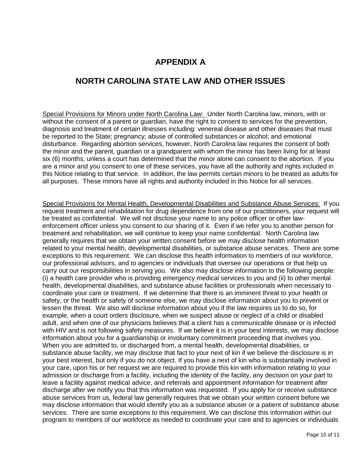# **APPENDIX A**

# **NORTH CAROLINA STATE LAW AND OTHER ISSUES**

Special Provisions for Minors under North Carolina Law: Under North Carolina law, minors, with or without the consent of a parent or guardian, have the right to consent to services for the prevention, diagnosis and treatment of certain illnesses including: venereal disease and other diseases that must be reported to the State; pregnancy; abuse of controlled substances or alcohol; and emotional disturbance. Regarding abortion services, however, North Carolina law requires the consent of both the minor and the parent, guardian or a grandparent with whom the minor has been living for at least six (6) months, unless a court has determined that the minor alone can consent to the abortion. If you are a minor and you consent to one of these services, you have all the authority and rights included in this Notice relating to that service. In addition, the law permits certain minors to be treated as adults for all purposes. These minors have all rights and authority included in this Notice for all services.

Special Provisions for Mental Health, Developmental Disabilities and Substance Abuse Services:If you request treatment and rehabilitation for drug dependence from one of our practitioners, your request will be treated as confidential. We will not disclose your name to any police officer or other lawenforcement officer unless you consent to our sharing of it. Even if we refer you to another person for treatment and rehabilitation, we will continue to keep your name confidential. North Carolina law generally requires that we obtain your written consent before we may disclose health information related to your mental health, developmental disabilities, or substance abuse services. There are some exceptions to this requirement. We can disclose this health information to members of our workforce, our professional advisors, and to agencies or individuals that oversee our operations or that help us carry out our responsibilities in serving you. We also may disclose information to the following people: (i) a health care provider who is providing emergency medical services to you and (ii) to other mental health, developmental disabilities, and substance abuse facilities or professionals when necessary to coordinate your care or treatment. If we determine that there is an imminent threat to your health or safety, or the health or safety of someone else, we may disclose information about you to prevent or lessen the threat. We also will disclose information about you if the law requires us to do so, for example, when a court orders disclosure, when we suspect abuse or neglect of a child or disabled adult, and when one of our physicians believes that a client has a communicable disease or is infected with HIV and is not following safety measures. If we believe it is in your best interests, we may disclose information about you for a guardianship or involuntary commitment proceeding that involves you. When you are admitted to, or discharged from, a mental health, developmental disabilities, or substance abuse facility, we may disclose that fact to your next of kin if we believe the disclosure is in your best interest, but only if you do not object. If you have a next of kin who is substantially involved in your care, upon his or her request we are required to provide this kin with information relating to your admission or discharge from a facility, including the identity of the facility, any decision on your part to leave a facility against medical advice, and referrals and appointment information for treatment after discharge after we notify you that this information was requested. If you apply for or receive substance abuse services from us, federal law generally requires that we obtain your written consent before we may disclose information that would identify you as a substance abuser or a patient of substance abuse services. There are some exceptions to this requirement. We can disclose this information within our program to members of our workforce as needed to coordinate your care and to agencies or individuals